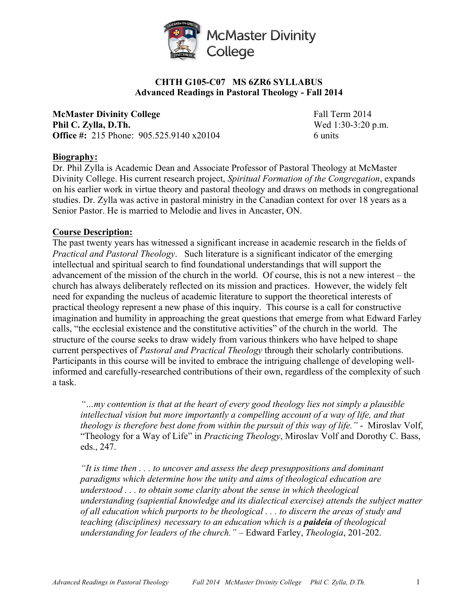

#### **CHTH G105-C07 MS 6ZR6 SYLLABUS Advanced Readings in Pastoral Theology - Fall 2014**

**McMaster Divinity College** Fall Term 2014 **Phil C. Zylla, D.Th.** Wed 1:30-3:20 p.m. **Office #:** 215 Phone: 905.525.9140 x20104 6 units

#### **Biography:**

Dr. Phil Zylla is Academic Dean and Associate Professor of Pastoral Theology at McMaster Divinity College. His current research project, *Spiritual Formation of the Congregation*, expands on his earlier work in virtue theory and pastoral theology and draws on methods in congregational studies. Dr. Zylla was active in pastoral ministry in the Canadian context for over 18 years as a Senior Pastor. He is married to Melodie and lives in Ancaster, ON.

#### **Course Description:**

The past twenty years has witnessed a significant increase in academic research in the fields of *Practical and Pastoral Theology*. Such literature is a significant indicator of the emerging intellectual and spiritual search to find foundational understandings that will support the advancement of the mission of the church in the world. Of course, this is not a new interest – the church has always deliberately reflected on its mission and practices. However, the widely felt need for expanding the nucleus of academic literature to support the theoretical interests of practical theology represent a new phase of this inquiry. This course is a call for constructive imagination and humility in approaching the great questions that emerge from what Edward Farley calls, "the ecclesial existence and the constitutive activities" of the church in the world. The structure of the course seeks to draw widely from various thinkers who have helped to shape current perspectives of *Pastoral and Practical Theology* through their scholarly contributions. Participants in this course will be invited to embrace the intriguing challenge of developing wellinformed and carefully-researched contributions of their own, regardless of the complexity of such a task.

*"…my contention is that at the heart of every good theology lies not simply a plausible intellectual vision but more importantly a compelling account of a way of life, and that theology is therefore best done from within the pursuit of this way of life."* - Miroslav Volf, "Theology for a Way of Life" in *Practicing Theology*, Miroslav Volf and Dorothy C. Bass, eds., 247.

*"It is time then . . . to uncover and assess the deep presuppositions and dominant paradigms which determine how the unity and aims of theological education are understood . . . to obtain some clarity about the sense in which theological understanding (sapiential knowledge and its dialectical exercise) attends the subject matter of all education which purports to be theological . . . to discern the areas of study and teaching (disciplines) necessary to an education which is a paideia of theological understanding for leaders of the church."* – Edward Farley, *Theologia*, 201-202.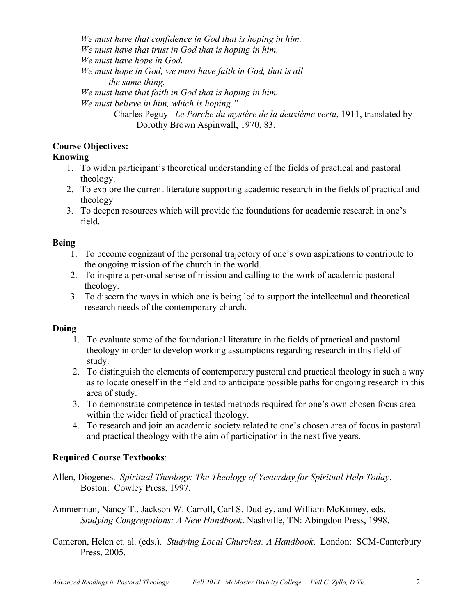*We must have that confidence in God that is hoping in him. We must have that trust in God that is hoping in him. We must have hope in God. We must hope in God, we must have faith in God, that is all the same thing. We must have that faith in God that is hoping in him. We must believe in him, which is hoping."* - Charles Peguy *Le Porche du mystère de la deuxième vertu*, 1911, translated by Dorothy Brown Aspinwall, 1970, 83.

#### **Course Objectives:**

#### **Knowing**

- 1. To widen participant's theoretical understanding of the fields of practical and pastoral theology.
- 2. To explore the current literature supporting academic research in the fields of practical and theology
- 3. To deepen resources which will provide the foundations for academic research in one's field.

#### **Being**

- 1. To become cognizant of the personal trajectory of one's own aspirations to contribute to the ongoing mission of the church in the world.
- 2. To inspire a personal sense of mission and calling to the work of academic pastoral theology.
- 3. To discern the ways in which one is being led to support the intellectual and theoretical research needs of the contemporary church.

## **Doing**

- 1. To evaluate some of the foundational literature in the fields of practical and pastoral theology in order to develop working assumptions regarding research in this field of study.
- 2. To distinguish the elements of contemporary pastoral and practical theology in such a way as to locate oneself in the field and to anticipate possible paths for ongoing research in this area of study.
- 3. To demonstrate competence in tested methods required for one's own chosen focus area within the wider field of practical theology.
- 4. To research and join an academic society related to one's chosen area of focus in pastoral and practical theology with the aim of participation in the next five years.

## **Required Course Textbooks**:

- Allen, Diogenes. *Spiritual Theology: The Theology of Yesterday for Spiritual Help Today*. Boston: Cowley Press, 1997.
- Ammerman, Nancy T., Jackson W. Carroll, Carl S. Dudley, and William McKinney, eds. *Studying Congregations: A New Handbook*. Nashville, TN: Abingdon Press, 1998.
- Cameron, Helen et. al. (eds.). *Studying Local Churches: A Handbook*. London: SCM-Canterbury Press, 2005.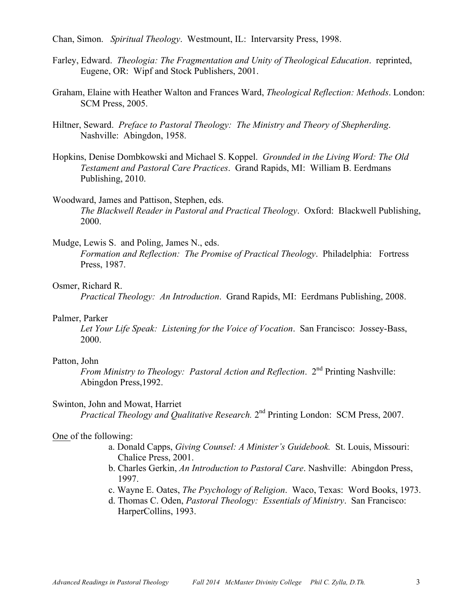Chan, Simon. *Spiritual Theology*. Westmount, IL: Intervarsity Press, 1998.

- Farley, Edward. *Theologia: The Fragmentation and Unity of Theological Education*. reprinted, Eugene, OR: Wipf and Stock Publishers, 2001.
- Graham, Elaine with Heather Walton and Frances Ward, *Theological Reflection: Methods*. London: SCM Press, 2005.
- Hiltner, Seward. *Preface to Pastoral Theology: The Ministry and Theory of Shepherding*. Nashville: Abingdon, 1958.
- Hopkins, Denise Dombkowski and Michael S. Koppel. *Grounded in the Living Word: The Old Testament and Pastoral Care Practices*. Grand Rapids, MI: William B. Eerdmans Publishing, 2010.
- Woodward, James and Pattison, Stephen, eds. *The Blackwell Reader in Pastoral and Practical Theology*. Oxford: Blackwell Publishing, 2000.
- Mudge, Lewis S. and Poling, James N., eds. *Formation and Reflection: The Promise of Practical Theology*. Philadelphia: Fortress Press, 1987.

#### Osmer, Richard R.

*Practical Theology: An Introduction*. Grand Rapids, MI: Eerdmans Publishing, 2008.

#### Palmer, Parker

*Let Your Life Speak: Listening for the Voice of Vocation*. San Francisco: Jossey-Bass, 2000.

#### Patton, John

*From Ministry to Theology: Pastoral Action and Reflection.* 2<sup>nd</sup> Printing Nashville: Abingdon Press,1992.

#### Swinton, John and Mowat, Harriet

*Practical Theology and Qualitative Research.* 2<sup>nd</sup> Printing London: SCM Press, 2007.

#### One of the following:

- a. Donald Capps, *Giving Counsel: A Minister's Guidebook.* St. Louis, Missouri: Chalice Press, 2001.
- b. Charles Gerkin, *An Introduction to Pastoral Care*. Nashville: Abingdon Press, 1997.
- c. Wayne E. Oates, *The Psychology of Religion*. Waco, Texas: Word Books, 1973.
- d. Thomas C. Oden, *Pastoral Theology: Essentials of Ministry*. San Francisco: HarperCollins, 1993.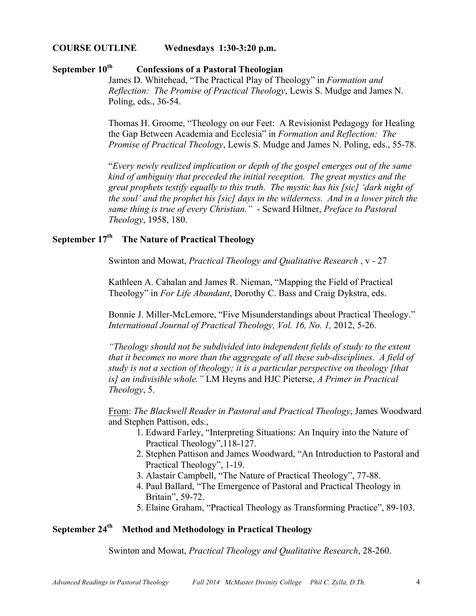#### **COURSE OUTLINE Wednesdays 1:30-3:20 p.m.**

# September 10<sup>th</sup> **Confessions of a Pastoral Theologian**

James D. Whitehead, "The Practical Play of Theology" in *Formation and Reflection: The Promise of Practical Theology*, Lewis S. Mudge and James N. Poling, eds., 36-54.

Thomas H. Groome, "Theology on our Feet: A Revisionist Pedagogy for Healing the Gap Between Academia and Ecclesia" in *Formation and Reflection: The Promise of Practical Theology*, Lewis S. Mudge and James N. Poling, eds., 55-78.

"*Every newly realized implication or depth of the gospel emerges out of the same kind of ambiguity that preceded the initial reception. The great mystics and the great prophets testify equally to this truth. The mystic has his [sic] 'dark night of the soul' and the prophet his [sic] days in the wilderness. And in a lower pitch the same thing is true of every Christian."* - Seward Hiltner, *Preface to Pastoral Theology*, 1958, 180.

# **September 17th The Nature of Practical Theology**

Swinton and Mowat, *Practical Theology and Qualitative Research* , v - 27

Kathleen A. Cahalan and James R. Nieman, "Mapping the Field of Practical Theology" in *For Life Abundant*, Dorothy C. Bass and Craig Dykstra, eds.

Bonnie J. Miller-McLemore, "Five Misunderstandings about Practical Theology." *International Journal of Practical Theology, Vol. 16, No. 1,* 2012, 5-26.

*"Theology should not be subdivided into independent fields of study to the extent that it becomes no more than the aggregate of all these sub-disciplines. A field of study is not a section of theology; it is a particular perspective on theology [that is] an indivisible whole."* LM Heyns and HJC Pieterse, *A Primer in Practical Theology*, 5.

From: *The Blackwell Reader in Pastoral and Practical Theology*, James Woodward and Stephen Pattison, eds.,

- 1. Edward Farley, "Interpreting Situations: An Inquiry into the Nature of Practical Theology",118-127.
- 2. Stephen Pattison and James Woodward, "An Introduction to Pastoral and Practical Theology", 1-19.
- 3. Alastair Campbell, "The Nature of Practical Theology", 77-88.
- 4. Paul Ballard, "The Emergence of Pastoral and Practical Theology in Britain", 59-72.
- 5. Elaine Graham, "Practical Theology as Transforming Practice", 89-103.

## **September 24th Method and Methodology in Practical Theology**

Swinton and Mowat, *Practical Theology and Qualitative Research*, 28-260.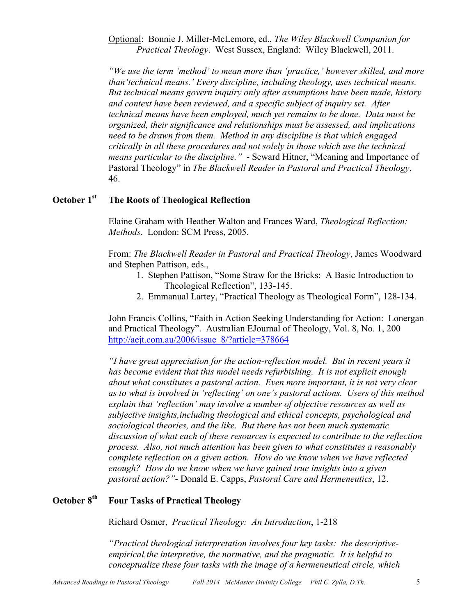Optional: Bonnie J. Miller-McLemore, ed., *The Wiley Blackwell Companion for Practical Theology*. West Sussex, England: Wiley Blackwell, 2011.

*"We use the term 'method' to mean more than 'practice,' however skilled, and more than'technical means.' Every discipline, including theology, uses technical means. But technical means govern inquiry only after assumptions have been made, history and context have been reviewed, and a specific subject of inquiry set. After technical means have been employed, much yet remains to be done. Data must be organized, their significance and relationships must be assessed, and implications need to be drawn from them. Method in any discipline is that which engaged critically in all these procedures and not solely in those which use the technical means particular to the discipline."* - Seward Hitner, "Meaning and Importance of Pastoral Theology" in *The Blackwell Reader in Pastoral and Practical Theology*, 46.

## **October 1st The Roots of Theological Reflection**

Elaine Graham with Heather Walton and Frances Ward, *Theological Reflection: Methods*. London: SCM Press, 2005.

From: *The Blackwell Reader in Pastoral and Practical Theology*, James Woodward and Stephen Pattison, eds.,

- 1. Stephen Pattison, "Some Straw for the Bricks: A Basic Introduction to Theological Reflection", 133-145.
- 2. Emmanual Lartey, "Practical Theology as Theological Form", 128-134.

John Francis Collins, "Faith in Action Seeking Understanding for Action: Lonergan and Practical Theology". Australian EJournal of Theology, Vol. 8, No. 1, 200 http://aejt.com.au/2006/issue\_8/?article=378664

*"I have great appreciation for the action-reflection model. But in recent years it has become evident that this model needs refurbishing. It is not explicit enough about what constitutes a pastoral action. Even more important, it is not very clear as to what is involved in 'reflecting' on one's pastoral actions. Users of this method explain that 'reflection' may involve a number of objective resources as well as subjective insights,including theological and ethical concepts, psychological and sociological theories, and the like. But there has not been much systematic discussion of what each of these resources is expected to contribute to the reflection process. Also, not much attention has been given to what constitutes a reasonably complete reflection on a given action. How do we know when we have reflected enough? How do we know when we have gained true insights into a given pastoral action?"*- Donald E. Capps, *Pastoral Care and Hermeneutics*, 12.

# **October 8th Four Tasks of Practical Theology**

Richard Osmer, *Practical Theology: An Introduction*, 1-218

*"Practical theological interpretation involves four key tasks: the descriptiveempirical,the interpretive, the normative, and the pragmatic. It is helpful to conceptualize these four tasks with the image of a hermeneutical circle, which*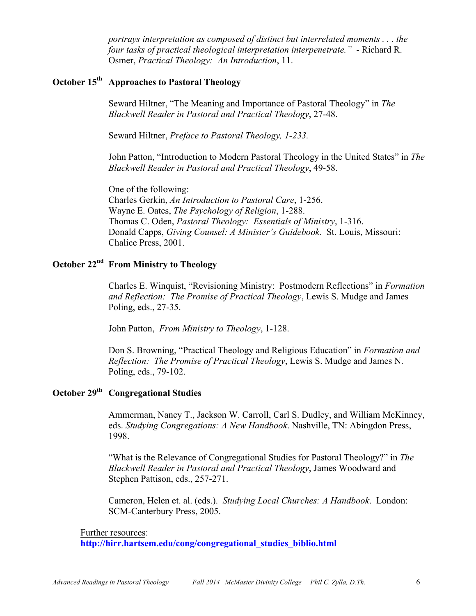*portrays interpretation as composed of distinct but interrelated moments . . . the four tasks of practical theological interpretation interpenetrate."* - Richard R. Osmer, *Practical Theology: An Introduction*, 11.

# **October 15th Approaches to Pastoral Theology**

Seward Hiltner, "The Meaning and Importance of Pastoral Theology" in *The Blackwell Reader in Pastoral and Practical Theology*, 27-48.

Seward Hiltner, *Preface to Pastoral Theology, 1-233.*

John Patton, "Introduction to Modern Pastoral Theology in the United States" in *The Blackwell Reader in Pastoral and Practical Theology*, 49-58.

One of the following: Charles Gerkin, *An Introduction to Pastoral Care*, 1-256. Wayne E. Oates, *The Psychology of Religion*, 1-288. Thomas C. Oden, *Pastoral Theology: Essentials of Ministry*, 1-316. Donald Capps, *Giving Counsel: A Minister's Guidebook.* St. Louis, Missouri: Chalice Press, 2001.

#### **October 22nd From Ministry to Theology**

Charles E. Winquist, "Revisioning Ministry: Postmodern Reflections" in *Formation and Reflection: The Promise of Practical Theology*, Lewis S. Mudge and James Poling, eds., 27-35.

John Patton, *From Ministry to Theology*, 1-128.

Don S. Browning, "Practical Theology and Religious Education" in *Formation and Reflection: The Promise of Practical Theology*, Lewis S. Mudge and James N. Poling, eds., 79-102.

## **October 29th Congregational Studies**

Ammerman, Nancy T., Jackson W. Carroll, Carl S. Dudley, and William McKinney, eds. *Studying Congregations: A New Handbook*. Nashville, TN: Abingdon Press, 1998.

"What is the Relevance of Congregational Studies for Pastoral Theology?" in *The Blackwell Reader in Pastoral and Practical Theology*, James Woodward and Stephen Pattison, eds., 257-271.

Cameron, Helen et. al. (eds.). *Studying Local Churches: A Handbook*. London: SCM-Canterbury Press, 2005.

Further resources:

**http://hirr.hartsem.edu/cong/congregational\_studies\_biblio.html**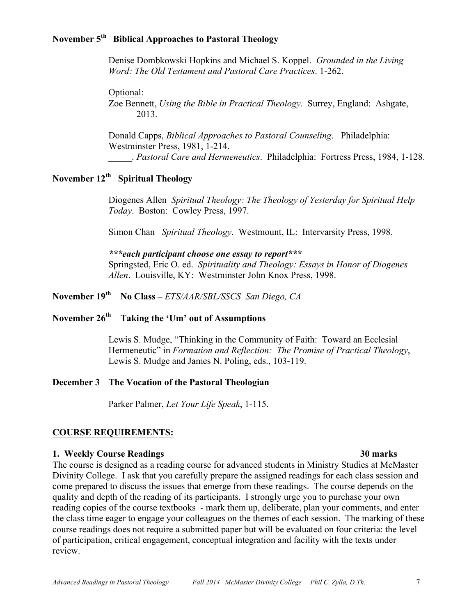#### **November 5th Biblical Approaches to Pastoral Theology**

Denise Dombkowski Hopkins and Michael S. Koppel. *Grounded in the Living Word: The Old Testament and Pastoral Care Practices*. 1-262.

Optional:

Zoe Bennett, *Using the Bible in Practical Theology*. Surrey, England: Ashgate, 2013.

Donald Capps, *Biblical Approaches to Pastoral Counseling*. Philadelphia: Westminster Press, 1981, 1-214. \_\_\_\_\_. *Pastoral Care and Hermeneutics*. Philadelphia: Fortress Press, 1984, 1-128.

# **November 12th Spiritual Theology**

Diogenes Allen *Spiritual Theology: The Theology of Yesterday for Spiritual Help Today*. Boston: Cowley Press, 1997.

Simon Chan *Spiritual Theology*. Westmount, IL: Intervarsity Press, 1998.

*\*\*\*each participant choose one essay to report\*\*\** Springsted, Eric O. ed. *Spirituality and Theology: Essays in Honor of Diogenes Allen*. Louisville, KY: Westminster John Knox Press, 1998.

**November 19th No Class –** *ETS/AAR/SBL/SSCS San Diego, CA*

# November 26<sup>th</sup> Taking the 'Um' out of Assumptions

Lewis S. Mudge, "Thinking in the Community of Faith: Toward an Ecclesial Hermeneutic" in *Formation and Reflection: The Promise of Practical Theology*, Lewis S. Mudge and James N. Poling, eds., 103-119.

#### **December 3 The Vocation of the Pastoral Theologian**

Parker Palmer, *Let Your Life Speak*, 1-115.

#### **COURSE REQUIREMENTS:**

#### **1. Weekly Course Readings 30 marks**

The course is designed as a reading course for advanced students in Ministry Studies at McMaster Divinity College. I ask that you carefully prepare the assigned readings for each class session and come prepared to discuss the issues that emerge from these readings. The course depends on the quality and depth of the reading of its participants. I strongly urge you to purchase your own reading copies of the course textbooks - mark them up, deliberate, plan your comments, and enter the class time eager to engage your colleagues on the themes of each session. The marking of these course readings does not require a submitted paper but will be evaluated on four criteria: the level of participation, critical engagement, conceptual integration and facility with the texts under review.

#### *Advanced Readings in Pastoral Theology Fall 2014 McMaster Divinity College Phil C. Zylla, D.Th.* 7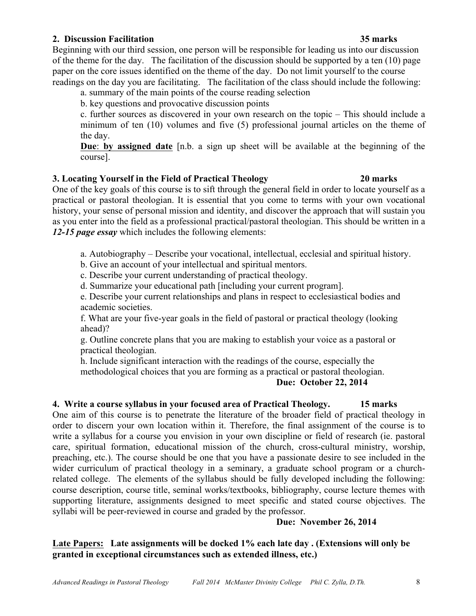#### **2. Discussion Facilitation 35 marks**

Beginning with our third session, one person will be responsible for leading us into our discussion of the theme for the day. The facilitation of the discussion should be supported by a ten (10) page paper on the core issues identified on the theme of the day. Do not limit yourself to the course readings on the day you are facilitating. The facilitation of the class should include the following:

a. summary of the main points of the course reading selection

b. key questions and provocative discussion points

c. further sources as discovered in your own research on the topic – This should include a minimum of ten (10) volumes and five (5) professional journal articles on the theme of the day.

**Due**: **by assigned date** [n.b. a sign up sheet will be available at the beginning of the course].

## **3. Locating Yourself in the Field of Practical Theology 20 marks**

## One of the key goals of this course is to sift through the general field in order to locate yourself as a practical or pastoral theologian. It is essential that you come to terms with your own vocational history, your sense of personal mission and identity, and discover the approach that will sustain you as you enter into the field as a professional practical/pastoral theologian. This should be written in a *12-15 page essay* which includes the following elements:

a. Autobiography – Describe your vocational, intellectual, ecclesial and spiritual history.

b. Give an account of your intellectual and spiritual mentors.

c. Describe your current understanding of practical theology.

d. Summarize your educational path [including your current program].

e. Describe your current relationships and plans in respect to ecclesiastical bodies and academic societies.

f. What are your five-year goals in the field of pastoral or practical theology (looking ahead)?

g. Outline concrete plans that you are making to establish your voice as a pastoral or practical theologian.

h. Include significant interaction with the readings of the course, especially the methodological choices that you are forming as a practical or pastoral theologian.

## **Due: October 22, 2014**

## **4. Write a course syllabus in your focused area of Practical Theology. 15 marks**

One aim of this course is to penetrate the literature of the broader field of practical theology in order to discern your own location within it. Therefore, the final assignment of the course is to write a syllabus for a course you envision in your own discipline or field of research (ie. pastoral care, spiritual formation, educational mission of the church, cross-cultural ministry, worship, preaching, etc.). The course should be one that you have a passionate desire to see included in the wider curriculum of practical theology in a seminary, a graduate school program or a churchrelated college. The elements of the syllabus should be fully developed including the following: course description, course title, seminal works/textbooks, bibliography, course lecture themes with supporting literature, assignments designed to meet specific and stated course objectives. The syllabi will be peer-reviewed in course and graded by the professor.

## **Due: November 26, 2014**

## **Late Papers: Late assignments will be docked 1% each late day . (Extensions will only be granted in exceptional circumstances such as extended illness, etc.)**